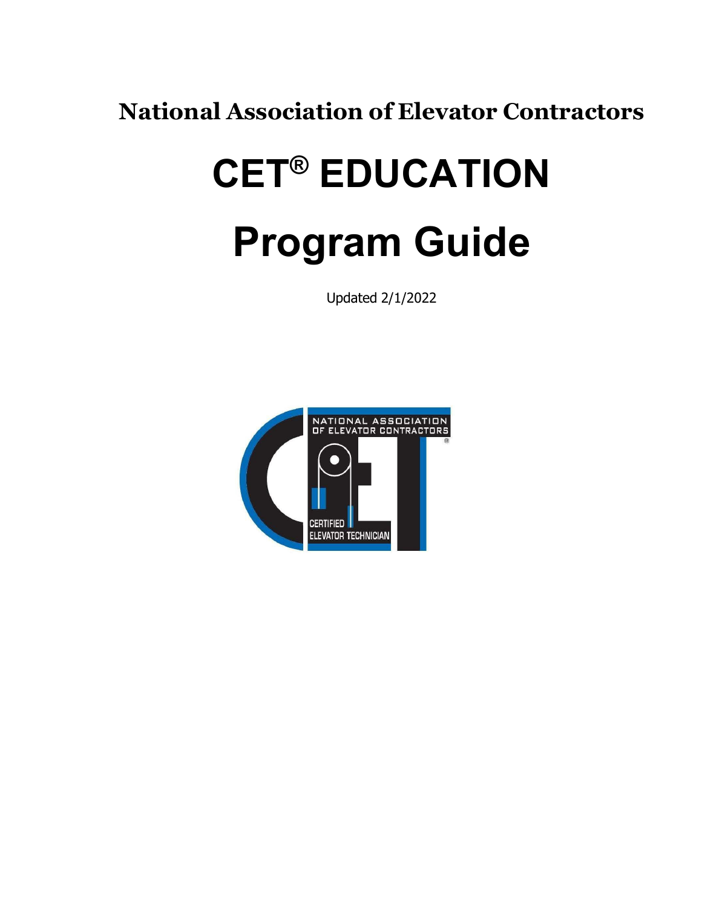**National Association of Elevator Contractors**

# **CET® EDUCATION Program Guide**

Updated 2/1/2022

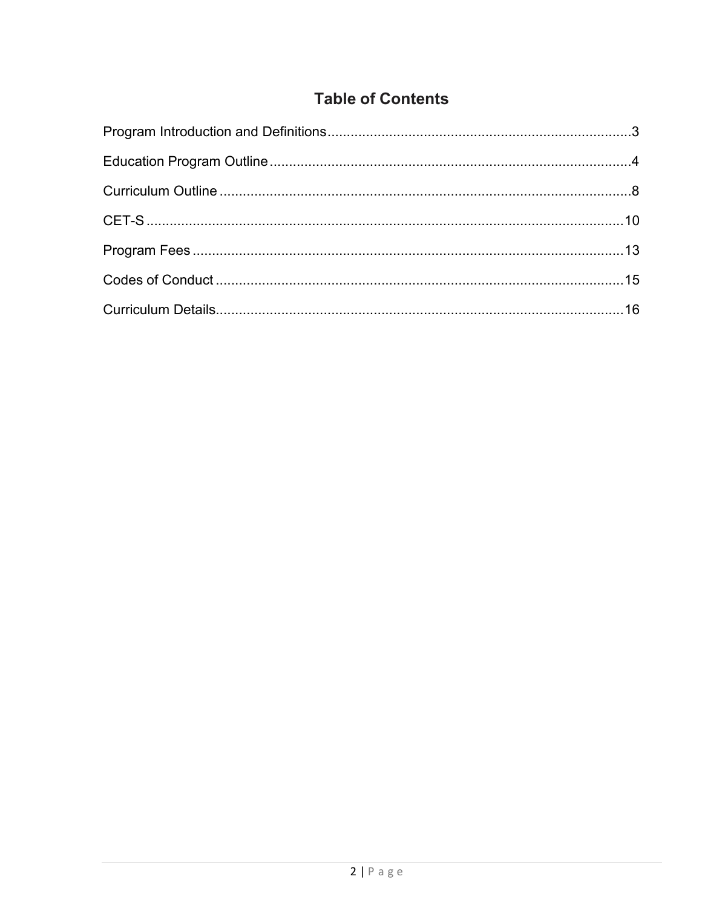# **Table of Contents**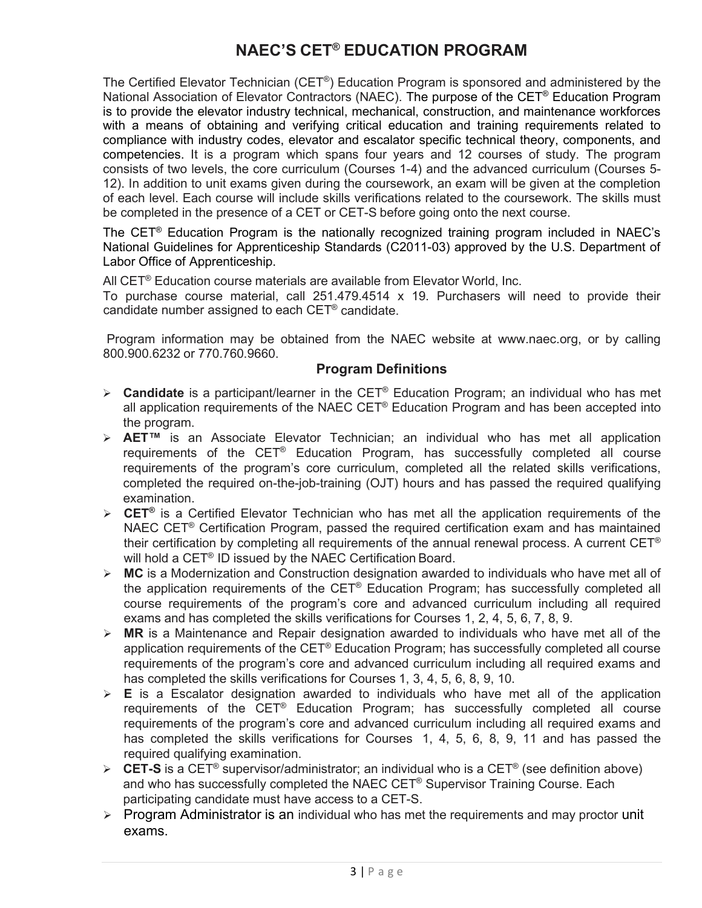# **NAEC'S CET® EDUCATION PROGRAM**

The Certified Elevator Technician (CET®) Education Program is sponsored and administered by the National Association of Elevator Contractors (NAEC). The purpose of the CET® Education Program is to provide the elevator industry technical, mechanical, construction, and maintenance workforces with a means of obtaining and verifying critical education and training requirements related to compliance with industry codes, elevator and escalator specific technical theory, components, and competencies. It is a program which spans four years and 12 courses of study. The program consists of two levels, the core curriculum (Courses 1-4) and the advanced curriculum (Courses 5- 12). In addition to unit exams given during the coursework, an exam will be given at the completion of each level. Each course will include skills verifications related to the coursework. The skills must be completed in the presence of a CET or CET-S before going onto the next course.

The CET® Education Program is the nationally recognized training program included in NAEC's National Guidelines for Apprenticeship Standards (C2011-03) approved by the U.S. Department of Labor Office of Apprenticeship.

All CET<sup>®</sup> Education course materials are available from Elevator World, Inc.

To purchase course material, call 251.479.4514 x 19. Purchasers will need to provide their candidate number assigned to each CET® candidate.

Program information may be obtained from the NAEC website at [www.naec.org,](http://www.naec.org/) or by calling 800.900.6232 or 770.760.9660.

# **Program Definitions**

- **Candidate** is a participant/learner in the CET® Education Program; an individual who has met all application requirements of the NAEC CET® Education Program and has been accepted into the program.
- **AET™** is an Associate Elevator Technician; an individual who has met all application requirements of the CET® Education Program, has successfully completed all course requirements of the program's core curriculum, completed all the related skills verifications, completed the required on-the-job-training (OJT) hours and has passed the required qualifying examination.
- **CET®** is a Certified Elevator Technician who has met all the application requirements of the NAEC CET® Certification Program, passed the required certification exam and has maintained their certification by completing all requirements of the annual renewal process. A current  $CET^{\circledast}$ will hold a CET<sup>®</sup> ID issued by the NAEC Certification Board.
- **MC** is a Modernization and Construction designation awarded to individuals who have met all of the application requirements of the  $CET^{\circledast}$  Education Program; has successfully completed all course requirements of the program's core and advanced curriculum including all required exams and has completed the skills verifications for Courses 1, 2, 4, 5, 6, 7, 8, 9.
- $\triangleright$  **MR** is a Maintenance and Repair designation awarded to individuals who have met all of the application requirements of the CET<sup>®</sup> Education Program; has successfully completed all course requirements of the program's core and advanced curriculum including all required exams and has completed the skills verifications for Courses 1, 3, 4, 5, 6, 8, 9, 10.
- $\triangleright$  **E** is a Escalator designation awarded to individuals who have met all of the application requirements of the CET® Education Program; has successfully completed all course requirements of the program's core and advanced curriculum including all required exams and has completed the skills verifications for Courses 1, 4, 5, 6, 8, 9, 11 and has passed the required qualifying examination.
- **CET-S** is a CET® supervisor/administrator; an individual who is a CET® (see definition above) and who has successfully completed the NAEC CET® Supervisor Training Course. Each participating candidate must have access to a CET-S.
- $\triangleright$  Program Administrator is an individual who has met the requirements and may proctor unit exams.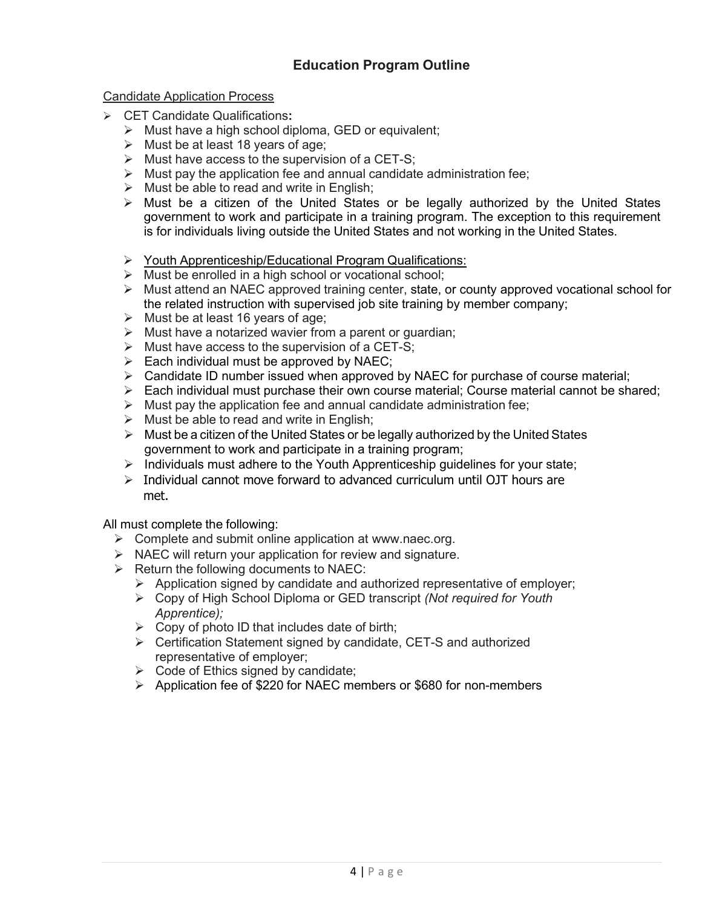# **Education Program Outline**

## <span id="page-3-0"></span>Candidate Application Process

- CET Candidate Qualifications**:**
	- $\triangleright$  Must have a high school diploma, GED or equivalent;
	- $\triangleright$  Must be at least 18 years of age;
	- $\triangleright$  Must have access to the supervision of a CET-S:
	- $\triangleright$  Must pay the application fee and annual candidate administration fee;
	- $\triangleright$  Must be able to read and write in English;
	- Must be a citizen of the United States or be legally authorized by the United States government to work and participate in a training program. The exception to this requirement is for individuals living outside the United States and not working in the United States.
	- ▶ Youth Apprenticeship/Educational Program Qualifications:
	- $\triangleright$  Must be enrolled in a high school or vocational school;
	- $\triangleright$  Must attend an NAEC approved training center, state, or county approved vocational school for the related instruction with supervised job site training by member company;
	- $\triangleright$  Must be at least 16 years of age;
	- $\triangleright$  Must have a notarized wavier from a parent or guardian;
	- $\triangleright$  Must have access to the supervision of a CET-S;
	- $\triangleright$  Each individual must be approved by NAEC;
	- $\triangleright$  Candidate ID number issued when approved by NAEC for purchase of course material;
	- $\triangleright$  Each individual must purchase their own course material; Course material cannot be shared;
	- $\triangleright$  Must pay the application fee and annual candidate administration fee:
	- $\triangleright$  Must be able to read and write in English;
	- $\triangleright$  Must be a citizen of the United States or be legally authorized by the United States government to work and participate in a training program;
	- $\triangleright$  Individuals must adhere to the Youth Apprenticeship guidelines for your state;
	- $\triangleright$  Individual cannot move forward to advanced curriculum until OJT hours are met.

All must complete the following:

- $\triangleright$  Complete and submit online application at [www.naec.org.](http://www.naec.org/)
- $\triangleright$  NAEC will return your application for review and signature.
- $\triangleright$  Return the following documents to NAEC:
	- $\triangleright$  Application signed by candidate and authorized representative of employer;
	- Copy of High School Diploma or GED transcript *(Not required for Youth Apprentice);*
	- $\triangleright$  Copy of photo ID that includes date of birth;
	- Certification Statement signed by candidate, CET-S and authorized representative of employer;
	- $\triangleright$  Code of Ethics signed by candidate;
	- Application fee of \$220 for NAEC members or \$680 for non-members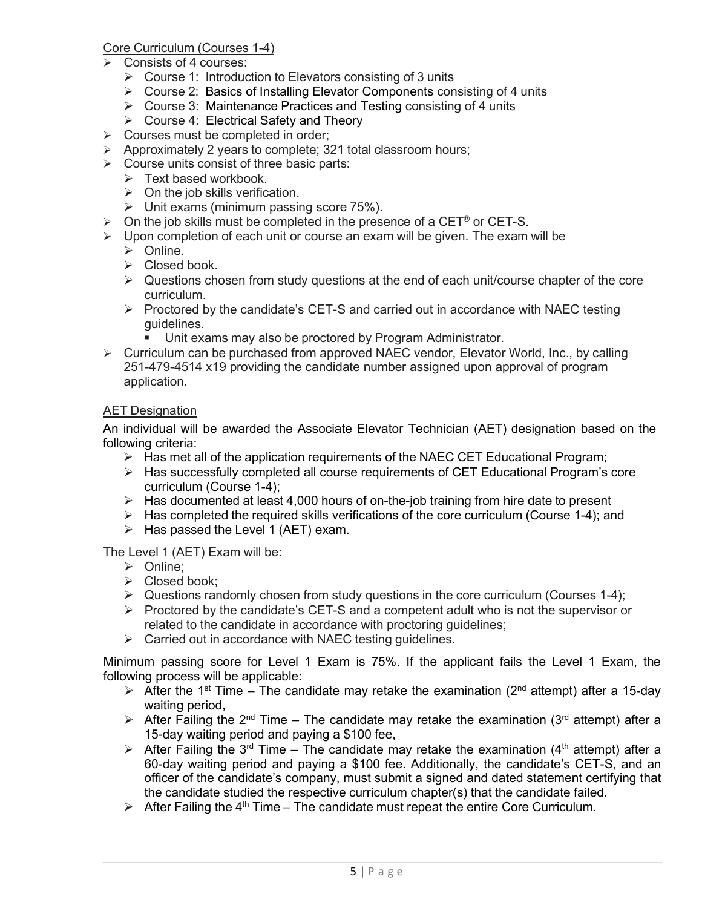# Core Curriculum (Courses 1-4)

- $\triangleright$  Consists of 4 courses:
	- $\triangleright$  Course 1: Introduction to Elevators consisting of 3 units
	- Course 2: Basics of Installing Elevator Components consisting of 4 units
	- $\triangleright$  Course 3: Maintenance Practices and Testing consisting of 4 units
	- $\triangleright$  Course 4: Electrical Safety and Theory
- $\triangleright$  Courses must be completed in order;
- $\triangleright$  Approximately 2 years to complete; 321 total classroom hours;
- $\triangleright$  Course units consist of three basic parts:
	- $\triangleright$  Text based workbook.
	- $\triangleright$  On the job skills verification.
	- $\triangleright$  Unit exams (minimum passing score 75%).
- $\triangleright$  On the job skills must be completed in the presence of a CET® or CET-S.
- $\triangleright$  Upon completion of each unit or course an exam will be given. The exam will be
	- > Online.
	- $\triangleright$  Closed book.
	- $\triangleright$  Questions chosen from study questions at the end of each unit/course chapter of the core curriculum.
	- $\triangleright$  Proctored by the candidate's CET-S and carried out in accordance with NAEC testing guidelines.
		- Unit exams may also be proctored by Program Administrator.
- $\triangleright$  Curriculum can be purchased from approved NAEC vendor, Elevator World, Inc., by calling 251-479-4514 x19 providing the candidate number assigned upon approval of program application.

# AET Designation

An individual will be awarded the Associate Elevator Technician (AET) designation based on the following criteria:

- $\triangleright$  Has met all of the application requirements of the NAEC CET Educational Program;
- $\triangleright$  Has successfully completed all course requirements of CET Educational Program's core curriculum (Course 1-4);
- $\triangleright$  Has documented at least 4,000 hours of on-the-job training from hire date to present
- $\triangleright$  Has completed the required skills verifications of the core curriculum (Course 1-4); and
- $\triangleright$  Has passed the Level 1 (AET) exam.

The Level 1 (AET) Exam will be:

- $\triangleright$  Online:
- $\triangleright$  Closed book;
- $\triangleright$  Questions randomly chosen from study questions in the core curriculum (Courses 1-4);
- $\triangleright$  Proctored by the candidate's CET-S and a competent adult who is not the supervisor or related to the candidate in accordance with proctoring guidelines;
- $\triangleright$  Carried out in accordance with NAEC testing quidelines.

Minimum passing score for Level 1 Exam is 75%. If the applicant fails the Level 1 Exam, the following process will be applicable:

- $\triangleright$  After the 1<sup>st</sup> Time The candidate may retake the examination (2<sup>nd</sup> attempt) after a 15-day waiting period,
- $\triangleright$  After Failing the 2<sup>nd</sup> Time The candidate may retake the examination (3<sup>rd</sup> attempt) after a 15-day waiting period and paying a \$100 fee,
- $\triangleright$  After Failing the 3<sup>rd</sup> Time The candidate may retake the examination (4<sup>th</sup> attempt) after a 60-day waiting period and paying a \$100 fee. Additionally, the candidate's CET-S, and an officer of the candidate's company, must submit a signed and dated statement certifying that the candidate studied the respective curriculum chapter(s) that the candidate failed.
- $\triangleright$  After Failing the 4<sup>th</sup> Time The candidate must repeat the entire Core Curriculum.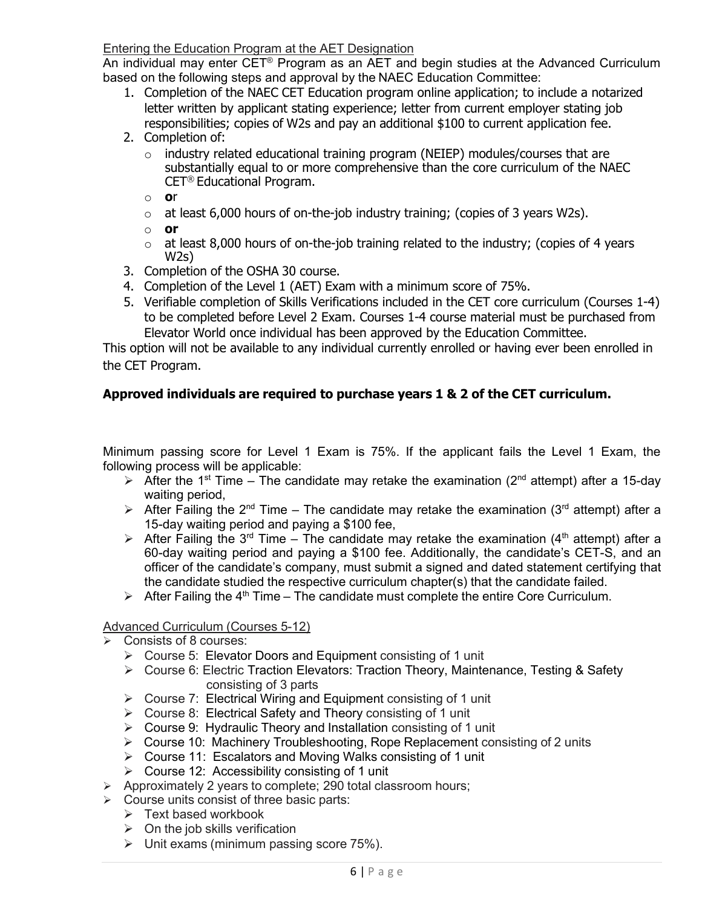# Entering the Education Program at the AET Designation

An individual may enter CET<sup>®</sup> Program as an AET and begin studies at the Advanced Curriculum based on the following steps and approval by the NAEC Education Committee:

- 1. Completion of the NAEC CET Education program online application; to include a notarized letter written by applicant stating experience; letter from current employer stating job responsibilities; copies of W2s and pay an additional \$100 to current application fee.
- 2. Completion of:
	- o industry related educational training program (NEIEP) modules/courses that are substantially equal to or more comprehensive than the core curriculum of the NAEC CET® Educational Program.
	- o **o**r
	- $\circ$  at least 6,000 hours of on-the-job industry training; (copies of 3 years W2s).
	- o **or**
	- $\circ$  at least 8,000 hours of on-the-job training related to the industry; (copies of 4 years W2s)
- 3. Completion of the OSHA 30 course.
- 4. Completion of the Level 1 (AET) Exam with a minimum score of 75%.
- 5. Verifiable completion of Skills Verifications included in the CET core curriculum (Courses 1-4) to be completed before Level 2 Exam. Courses 1-4 course material must be purchased from Elevator World once individual has been approved by the Education Committee.

This option will not be available to any individual currently enrolled or having ever been enrolled in the CET Program.

# **Approved individuals are required to purchase years 1 & 2 of the CET curriculum.**

Minimum passing score for Level 1 Exam is 75%. If the applicant fails the Level 1 Exam, the following process will be applicable:

- $\triangleright$  After the 1<sup>st</sup> Time The candidate may retake the examination (2<sup>nd</sup> attempt) after a 15-day waiting period,
- After Failing the 2<sup>nd</sup> Time The candidate may retake the examination (3<sup>rd</sup> attempt) after a 15-day waiting period and paying a \$100 fee,
- $\triangleright$  After Failing the 3<sup>rd</sup> Time The candidate may retake the examination (4<sup>th</sup> attempt) after a 60-day waiting period and paying a \$100 fee. Additionally, the candidate's CET-S, and an officer of the candidate's company, must submit a signed and dated statement certifying that the candidate studied the respective curriculum chapter(s) that the candidate failed.
- $\triangleright$  After Failing the 4<sup>th</sup> Time The candidate must complete the entire Core Curriculum.

# Advanced Curriculum (Courses 5-12)

- Consists of 8 courses:
	- Course 5: Elevator Doors and Equipment consisting of 1 unit
	- Course 6: Electric Traction Elevators: Traction Theory, Maintenance, Testing & Safety consisting of 3 parts
	- $\triangleright$  Course 7: Electrical Wiring and Equipment consisting of 1 unit
	- Course 8: Electrical Safety and Theory consisting of 1 unit
	- Course 9: Hydraulic Theory and Installation consisting of 1 unit
	- Course 10: Machinery Troubleshooting, Rope Replacement consisting of 2 units
	- Course 11: Escalators and Moving Walks consisting of 1 unit
	- $\triangleright$  Course 12: Accessibility consisting of 1 unit
- $\triangleright$  Approximately 2 years to complete; 290 total classroom hours;
- $\triangleright$  Course units consist of three basic parts:
	- $\triangleright$  Text based workbook
	- $\triangleright$  On the job skills verification
	- $\triangleright$  Unit exams (minimum passing score 75%).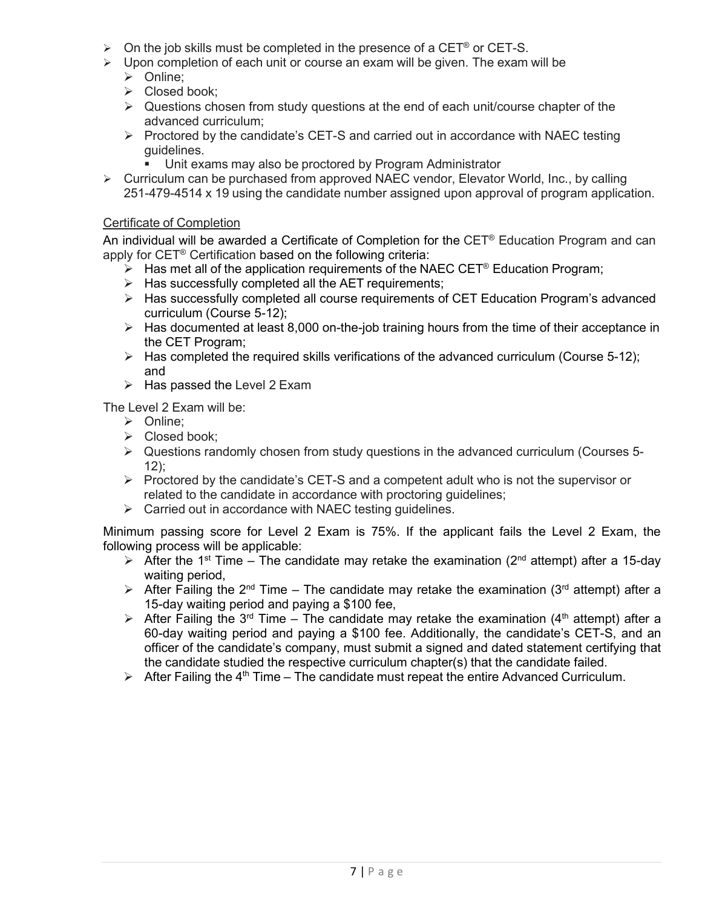- $\triangleright$  On the job skills must be completed in the presence of a CET® or CET-S.
- $\triangleright$  Upon completion of each unit or course an exam will be given. The exam will be
	- > Online;
	- $\triangleright$  Closed book;
	- $\triangleright$  Questions chosen from study questions at the end of each unit/course chapter of the advanced curriculum;
	- $\triangleright$  Proctored by the candidate's CET-S and carried out in accordance with NAEC testing guidelines.
		- Unit exams may also be proctored by Program Administrator
- $\triangleright$  Curriculum can be purchased from approved NAEC vendor, Elevator World, Inc., by calling 251-479-4514 x 19 using the candidate number assigned upon approval of program application.

# Certificate of Completion

An individual will be awarded a Certificate of Completion for the CET<sup>®</sup> Education Program and can apply for CET<sup>®</sup> Certification based on the following criteria:

- $\triangleright$  Has met all of the application requirements of the NAEC CET<sup>®</sup> Education Program;
- $\triangleright$  Has successfully completed all the AET requirements;
- Has successfully completed all course requirements of CET Education Program's advanced curriculum (Course 5-12);
- $\triangleright$  Has documented at least 8,000 on-the-job training hours from the time of their acceptance in the CET Program;
- $\triangleright$  Has completed the required skills verifications of the advanced curriculum (Course 5-12); and
- $\triangleright$  Has passed the Level 2 Exam

The Level 2 Exam will be:

- > Online;
- $\triangleright$  Closed book;
- $\triangleright$  Questions randomly chosen from study questions in the advanced curriculum (Courses 5-12);
- $\triangleright$  Proctored by the candidate's CET-S and a competent adult who is not the supervisor or related to the candidate in accordance with proctoring quidelines;
- $\triangleright$  Carried out in accordance with NAEC testing guidelines.

Minimum passing score for Level 2 Exam is 75%. If the applicant fails the Level 2 Exam, the following process will be applicable:

- $\triangleright$  After the 1<sup>st</sup> Time The candidate may retake the examination (2<sup>nd</sup> attempt) after a 15-day waiting period,
- $\triangleright$  After Failing the 2<sup>nd</sup> Time The candidate may retake the examination (3<sup>rd</sup> attempt) after a 15-day waiting period and paying a \$100 fee,
- $\triangleright$  After Failing the 3<sup>rd</sup> Time The candidate may retake the examination (4<sup>th</sup> attempt) after a 60-day waiting period and paying a \$100 fee. Additionally, the candidate's CET-S, and an officer of the candidate's company, must submit a signed and dated statement certifying that the candidate studied the respective curriculum chapter(s) that the candidate failed.
- $\triangleright$  After Failing the 4<sup>th</sup> Time The candidate must repeat the entire Advanced Curriculum.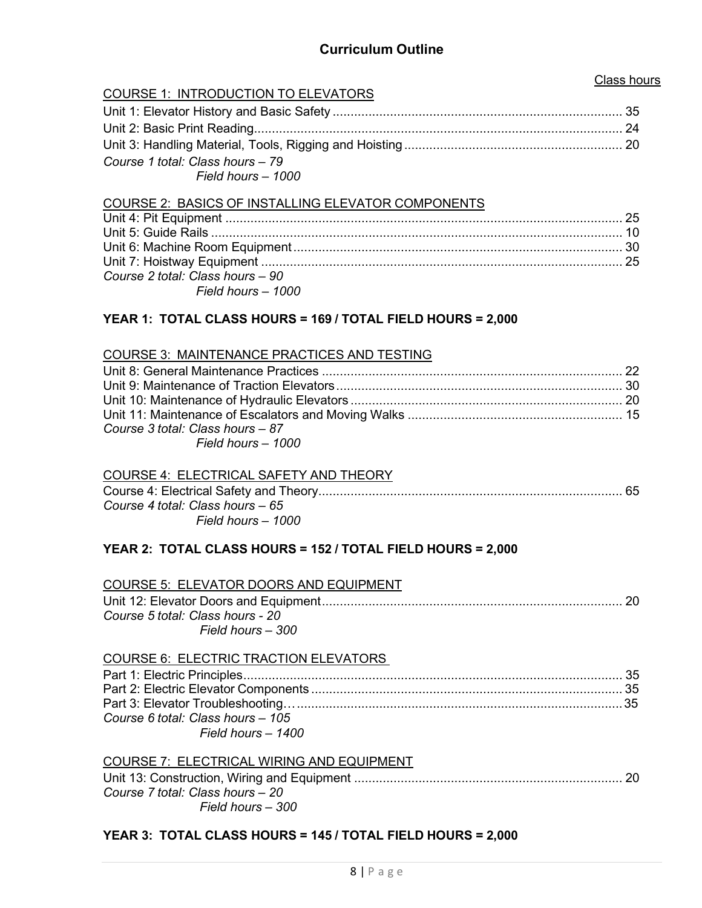# **Curriculum Outline**

# Class hours

# <span id="page-7-0"></span>COURSE 1: INTRODUCTION TO ELEVATORS

| Course 1 total: Class hours - 79 |  |
|----------------------------------|--|
| Field hours - 1000               |  |

#### COURSE 2: BASICS OF INSTALLING ELEVATOR COMPONENTS

| Course 2 total: Class hours - 90 |  |
|----------------------------------|--|
| Field hours - 1000               |  |

# **YEAR 1: TOTAL CLASS HOURS = 169 / TOTAL FIELD HOURS = 2,000**

#### COURSE 3: MAINTENANCE PRACTICES AND TESTING

| Course 3 total: Class hours - 87 |  |
|----------------------------------|--|
| Field hours - 1000               |  |

| <b>COURSE 4: ELECTRICAL SAFETY AND THEORY</b> |  |
|-----------------------------------------------|--|
|                                               |  |
| Course 4 total: Class hours – 65              |  |
| Field hours – 1000                            |  |

# **YEAR 2: TOTAL CLASS HOURS = 152 / TOTAL FIELD HOURS = 2,000**

| COURSE 5: ELEVATOR DOORS AND EQUIPMENT                |  |
|-------------------------------------------------------|--|
| Course 5 total: Class hours - 20<br>Field hours - 300 |  |
| <b>COURSE 6: ELECTRIC TRACTION ELEVATORS</b>          |  |
|                                                       |  |
|                                                       |  |
|                                                       |  |
| Course 6 total: Class hours - 105                     |  |
| Field hours - 1400                                    |  |
|                                                       |  |

# COURSE 7: ELECTRICAL WIRING AND EQUIPMENT

| Course 7 total: Class hours - 20 |  |
|----------------------------------|--|
| Field hours – 300                |  |

# **YEAR 3: TOTAL CLASS HOURS = 145 / TOTAL FIELD HOURS = 2,000**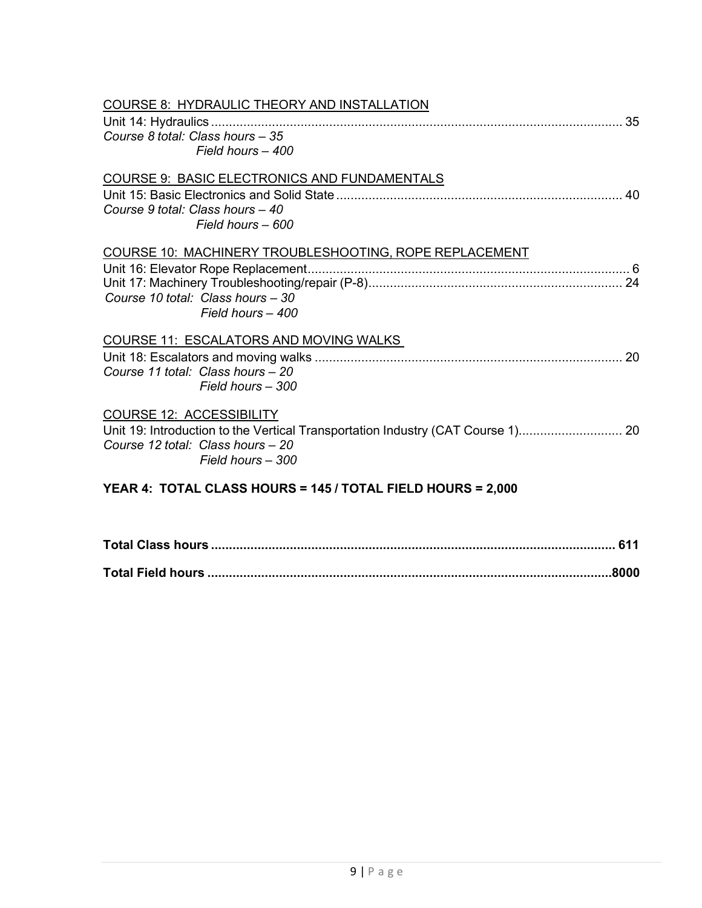| COURSE 8: HYDRAULIC THEORY AND INSTALLATION<br>Course 8 total: Class hours - 35<br>Field hours - 400                                                                         |  |
|------------------------------------------------------------------------------------------------------------------------------------------------------------------------------|--|
| COURSE 9: BASIC ELECTRONICS AND FUNDAMENTALS<br>Course 9 total: Class hours - 40<br>Field hours - 600                                                                        |  |
| COURSE 10: MACHINERY TROUBLESHOOTING, ROPE REPLACEMENT<br>Course 10 total: Class hours - 30<br>Field hours - 400                                                             |  |
| COURSE 11: ESCALATORS AND MOVING WALKS<br>Course 11 total: Class hours - 20<br>Field hours - 300                                                                             |  |
| <b>COURSE 12: ACCESSIBILITY</b><br>Unit 19: Introduction to the Vertical Transportation Industry (CAT Course 1) 20<br>Course 12 total: Class hours - 20<br>Field hours - 300 |  |
| YEAR 4: TOTAL CLASS HOURS = 145 / TOTAL FIELD HOURS = 2,000                                                                                                                  |  |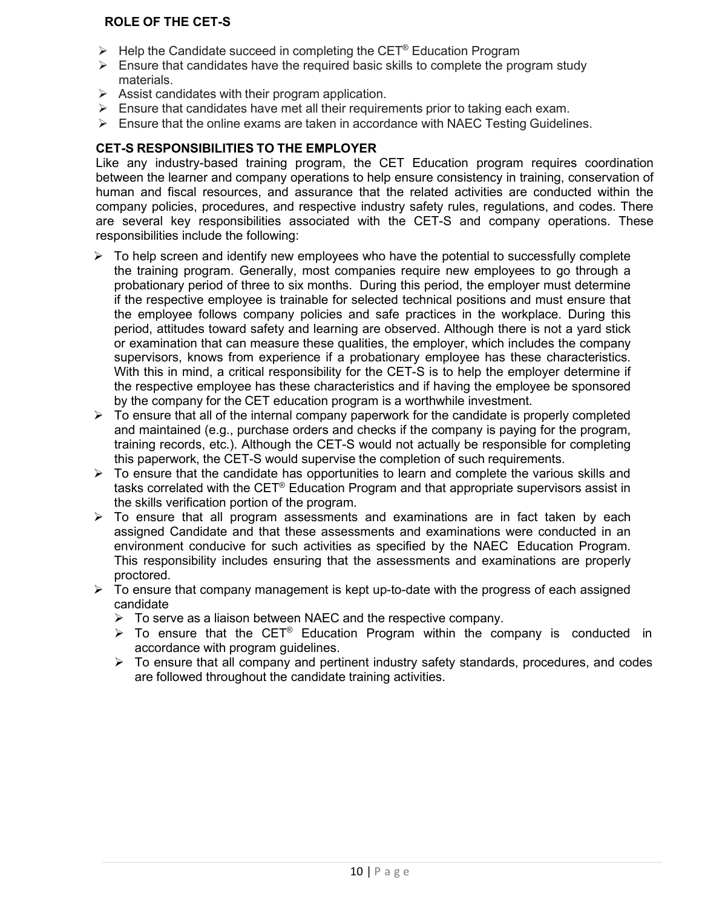# **ROLE OF THE CET-S**

- $\triangleright$  Help the Candidate succeed in completing the CET<sup>®</sup> Education Program
- $\triangleright$  Ensure that candidates have the required basic skills to complete the program study materials.
- $\triangleright$  Assist candidates with their program application.
- $\triangleright$  Ensure that candidates have met all their requirements prior to taking each exam.
- $\triangleright$  Ensure that the online exams are taken in accordance with NAEC Testing Guidelines.

## **CET-S RESPONSIBILITIES TO THE EMPLOYER**

Like any industry-based training program, the CET Education program requires coordination between the learner and company operations to help ensure consistency in training, conservation of human and fiscal resources, and assurance that the related activities are conducted within the company policies, procedures, and respective industry safety rules, regulations, and codes. There are several key responsibilities associated with the CET-S and [company](mailto:kathy@naec.org) operations. These responsibilities include the following:

- $\triangleright$  To help screen and identify new employees who have the potential to successfully complete the training program. Generally, most companies require new employees to go through a probationary period of three to six months. During this period, the employer must determine if the respective employee is trainable for selected technical positions and must ensure that the employee follows company policies and safe practices in the workplace. During this period, attitudes toward safety and learning are observed. Although there is not a yard stick or examination that can measure these qualities, the employer, which includes the company supervisors, knows from experience if a probationary employee has these characteristics. With this in mind, a critical responsibility for the CET-S is to help the employer determine if the respective employee has these characteristics and if having the employee be sponsored by the company for the CET education program is a worthwhile investment.
- $\triangleright$  To ensure that all of the internal company paperwork for the candidate is properly completed and maintained (e.g., purchase orders and checks if the company is paying for the program, training records, etc.). Although the CET-S would not actually be responsible for completing this paperwork, the CET-S would supervise the completion of such requirements.
- $\triangleright$  To ensure that the candidate has opportunities to learn and complete the various skills and tasks correlated with the CET® Education Program and that appropriate supervisors assist in the skills verification portion of the program.
- $\triangleright$  To ensure that all program assessments and examinations are in fact taken by each assigned Candidate and that these assessments and examinations were conducted in an environment conducive for such activities as specified by the NAEC Education Program. This responsibility includes ensuring that the assessments and examinations are properly proctored.
- $\triangleright$  To ensure that company management is kept up-to-date with the progress of each assigned candidate
	- $\triangleright$  To serve as a liaison between NAEC and the respective company.
	- $\triangleright$  To ensure that the CET<sup>®</sup> Education Program within the company is conducted in accordance with program guidelines.
	- $\triangleright$  To ensure that all company and pertinent industry safety standards, procedures, and codes are followed throughout the candidate training activities.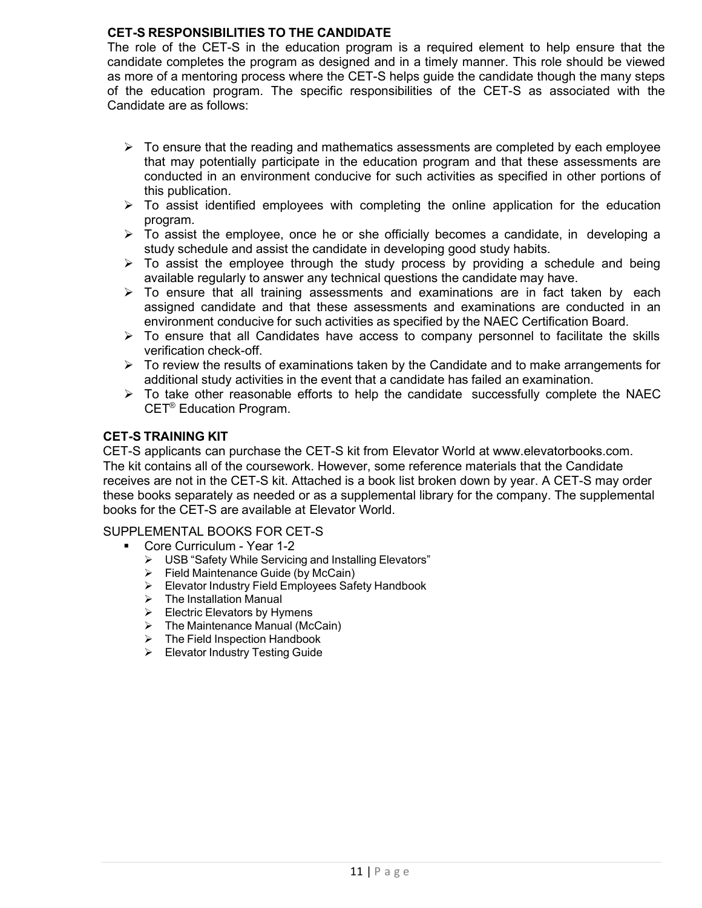# **CET-S RESPONSIBILITIES TO THE CANDIDATE**

The role of the CET-S in the education program is a required element to help ensure that the candidate completes the program as designed and in a timely manner. This role should be viewed as more of a mentoring process where the CET-S helps guide the candidate though the many steps of the education program. The specific responsibilities of the CET-S as associated with the Candidate are as follows:

- $\triangleright$  To ensure that the reading and mathematics assessments are completed by each employee that may potentially participate in the education program and that these assessments are conducted in an environment conducive for such activities as specified in other portions of this publication.
- $\triangleright$  To assist identified employees with completing the online application for the education program.
- $\triangleright$  To assist the employee, once he or she officially becomes a candidate, in developing a study schedule and assist the candidate in developing good study habits.
- $\triangleright$  To assist the employee through the study process by providing a schedule and being available regularly to answer any technical questions the candidate may have.
- $\triangleright$  To ensure that all training assessments and examinations are in fact taken by each assigned candidate and that these assessments and examinations are conducted in an environment conducive for such activities as specified by the NAEC Certification Board.
- $\triangleright$  To ensure that all Candidates have access to company personnel to facilitate the skills verification check-off.
- $\triangleright$  To review the results of examinations taken by the Candidate and to make arrangements for additional study activities in the event that a candidate has failed an examination.
- $\triangleright$  To take other reasonable efforts to help the candidate successfully complete the NAEC CET® Education Program.

# **CET-S TRAINING KIT**

CET-S applicants can purchase the CET-S kit from Elevator World at [www.elevatorbooks.com.](http://www.elevatorbooks.com/) The kit contains all of the coursework. However, some reference materials that the Candidate receives are not in the CET-S kit. Attached is a book list broken down by year. A CET-S may order these books separately as needed or as a supplemental library for the company. The supplemental books for the CET-S are available at Elevator World.

SUPPLEMENTAL BOOKS FOR CET-S

- Core Curriculum Year 1-2
	- USB "Safety While Servicing and Installing Elevators"
	- $\triangleright$  Field Maintenance Guide (by McCain)
	- ▶ Elevator Industry Field Employees Safety Handbook<br>▶ The Installation Manual
	- The Installation Manual
	- $\triangleright$  Electric Elevators by Hymens
	- $\triangleright$  The Maintenance Manual (McCain)
	- $\triangleright$  The Field Inspection Handbook
	- Elevator Industry Testing Guide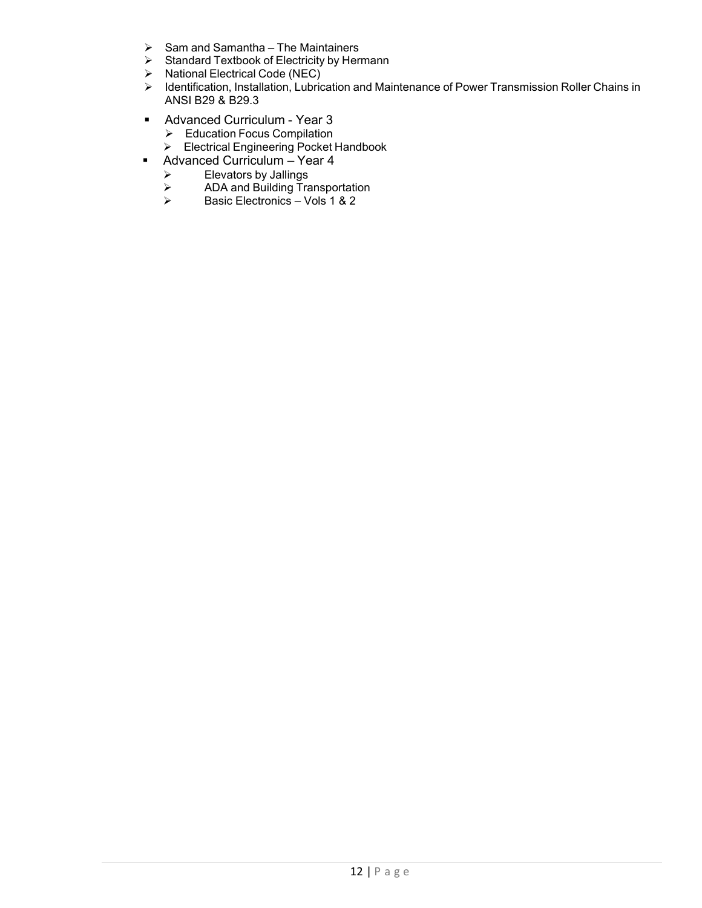- $\triangleright$  Sam and Samantha The Maintainers
- Standard Textbook of Electricity by Hermann
- $\triangleright$  National Electrical Code (NEC)
- Identification, Installation, Lubrication and Maintenance of Power Transmission Roller Chains in ANSI B29 & B29.3
- Advanced Curriculum Year 3
	- Education Focus Compilation
	- Electrical Engineering Pocket Handbook
- Advanced Curriculum Year 4
	- $\triangleright$  Elevators by Jallings
	- ADA and Building Transportation
	- Basic Electronics Vols 1 & 2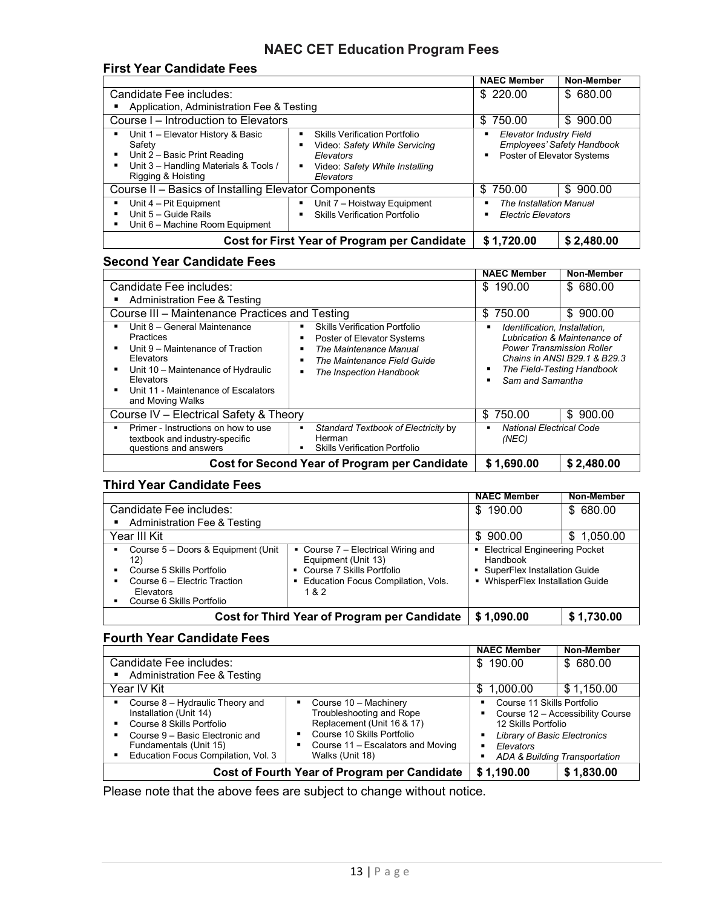# **NAEC CET Education Program Fees**

#### **First Year Candidate Fees**

|                                                                                                                                            |                                                                                                                                                               | <b>NAEC Member</b>                                                                                   | Non-Member |
|--------------------------------------------------------------------------------------------------------------------------------------------|---------------------------------------------------------------------------------------------------------------------------------------------------------------|------------------------------------------------------------------------------------------------------|------------|
| Candidate Fee includes:                                                                                                                    |                                                                                                                                                               | \$220.00<br>\$680.00                                                                                 |            |
| Application, Administration Fee & Testing                                                                                                  |                                                                                                                                                               |                                                                                                      |            |
| Course I – Introduction to Elevators                                                                                                       |                                                                                                                                                               | \$750.00<br>\$900.00                                                                                 |            |
| Unit 1 - Elevator History & Basic<br>Safety<br>Unit 2 - Basic Print Reading<br>Unit 3 - Handling Materials & Tools /<br>Rigging & Hoisting | <b>Skills Verification Portfolio</b><br>$\blacksquare$<br>Video: Safety While Servicing<br>Е<br>Elevators<br>Video: Safety While Installing<br>п<br>Elevators | <b>Elevator Industry Field</b><br>٠<br>Employees' Safety Handbook<br>Poster of Elevator Systems<br>٠ |            |
| Course II - Basics of Installing Elevator Components                                                                                       |                                                                                                                                                               | \$750.00                                                                                             | \$900.00   |
| Unit 4 - Pit Equipment<br>Unit 5 - Guide Rails<br>Unit 6 - Machine Room Equipment                                                          | Unit 7 - Hoistway Equipment<br>п<br><b>Skills Verification Portfolio</b><br>٠                                                                                 | <b>The Installation Manual</b><br>٠<br><b>Electric Elevators</b><br>٠                                |            |
| Cost for First Year of Program per Candidate                                                                                               |                                                                                                                                                               | \$1,720.00                                                                                           | \$2,480.00 |

#### **Second Year Candidate Fees**

|                                                                                                                                                                                                                 |                                                                                                                                                                                         | <b>NAEC Member</b>                                                                                                                                                                                              | Non-Member |
|-----------------------------------------------------------------------------------------------------------------------------------------------------------------------------------------------------------------|-----------------------------------------------------------------------------------------------------------------------------------------------------------------------------------------|-----------------------------------------------------------------------------------------------------------------------------------------------------------------------------------------------------------------|------------|
| Candidate Fee includes:                                                                                                                                                                                         | \$<br>190.00                                                                                                                                                                            |                                                                                                                                                                                                                 | \$680.00   |
| Administration Fee & Testing                                                                                                                                                                                    |                                                                                                                                                                                         |                                                                                                                                                                                                                 |            |
| Course III - Maintenance Practices and Testing                                                                                                                                                                  |                                                                                                                                                                                         | 750.00<br>\$.                                                                                                                                                                                                   | \$900.00   |
| Unit 8 - General Maintenance<br><b>Practices</b><br>Unit 9 – Maintenance of Traction<br>Elevators<br>Unit 10 - Maintenance of Hydraulic<br>Elevators<br>Unit 11 - Maintenance of Escalators<br>and Moving Walks | <b>Skills Verification Portfolio</b><br>Poster of Elevator Systems<br>п<br>The Maintenance Manual<br>в<br>The Maintenance Field Guide<br>$\blacksquare$<br>The Inspection Handbook<br>в | Identification, Installation.<br>$\blacksquare$<br>Lubrication & Maintenance of<br><b>Power Transmission Roller</b><br>Chains in ANSI B29.1 & B29.3<br>The Field-Testing Handbook<br>٠<br>Sam and Samantha<br>٠ |            |
| Course IV - Electrical Safety & Theory                                                                                                                                                                          |                                                                                                                                                                                         | \$750.00                                                                                                                                                                                                        | \$900.00   |
| Primer - Instructions on how to use<br>textbook and industry-specific<br>questions and answers                                                                                                                  | Standard Textbook of Electricity by<br>٠<br>Herman<br><b>Skills Verification Portfolio</b><br>п                                                                                         | <b>National Electrical Code</b><br>$\blacksquare$<br>(NEC)                                                                                                                                                      |            |
| <b>Cost for Second Year of Program per Candidate</b>                                                                                                                                                            |                                                                                                                                                                                         | \$1,690.00                                                                                                                                                                                                      | \$2,480.00 |

# **Third Year Candidate Fees**

|                                                                                                                                                  |                                                                                                                                              | <b>NAEC Member</b>                                                                                                     | Non-Member     |
|--------------------------------------------------------------------------------------------------------------------------------------------------|----------------------------------------------------------------------------------------------------------------------------------------------|------------------------------------------------------------------------------------------------------------------------|----------------|
| Candidate Fee includes:                                                                                                                          |                                                                                                                                              | \$ 680.00<br>\$190.00                                                                                                  |                |
| <b>Administration Fee &amp; Testing</b>                                                                                                          |                                                                                                                                              |                                                                                                                        |                |
| Year III Kit                                                                                                                                     |                                                                                                                                              | \$900.00                                                                                                               | 1,050.00<br>\$ |
| Course 5 - Doors & Equipment (Unit<br>12)<br>Course 5 Skills Portfolio<br>Course 6 - Electric Traction<br>Elevators<br>Course 6 Skills Portfolio | • Course 7 - Electrical Wiring and<br>Equipment (Unit 13)<br>• Course 7 Skills Portfolio<br><b>Education Focus Compilation, Vols.</b><br>1&2 | <b>Electrical Engineering Pocket</b><br>Handbook<br>• SuperFlex Installation Guide<br>• WhisperFlex Installation Guide |                |
|                                                                                                                                                  | Cost for Third Year of Program per Candidate                                                                                                 | \$1,090.00                                                                                                             | \$1,730.00     |

# **Fourth Year Candidate Fees**

|                                                                                                                                                                                            |                                                                                                                                                                            | <b>NAEC Member</b>                                                                                                                                                         | Non-Member |
|--------------------------------------------------------------------------------------------------------------------------------------------------------------------------------------------|----------------------------------------------------------------------------------------------------------------------------------------------------------------------------|----------------------------------------------------------------------------------------------------------------------------------------------------------------------------|------------|
| Candidate Fee includes:                                                                                                                                                                    |                                                                                                                                                                            | \$190.00                                                                                                                                                                   | \$680.00   |
| <b>Administration Fee &amp; Testing</b>                                                                                                                                                    |                                                                                                                                                                            |                                                                                                                                                                            |            |
| Year IV Kit                                                                                                                                                                                |                                                                                                                                                                            | 1,000.00<br>S                                                                                                                                                              | \$1,150.00 |
| Course 8 - Hydraulic Theory and<br>Installation (Unit 14)<br>Course 8 Skills Portfolio<br>Course 9 - Basic Electronic and<br>Fundamentals (Unit 15)<br>Education Focus Compilation, Vol. 3 | Course 10 - Machinery<br>٠<br>Troubleshooting and Rope<br>Replacement (Unit 16 & 17)<br>Course 10 Skills Portfolio<br>Course 11 - Escalators and Moving<br>Walks (Unit 18) | Course 11 Skills Portfolio<br>Course 12 - Accessibility Course<br>12 Skills Portfolio<br><b>Library of Basic Electronics</b><br>Elevators<br>ADA & Building Transportation |            |
| Cost of Fourth Year of Program per Candidate                                                                                                                                               |                                                                                                                                                                            | \$1,190.00                                                                                                                                                                 | \$1,830.00 |

Please note that the above fees are subject to change without notice.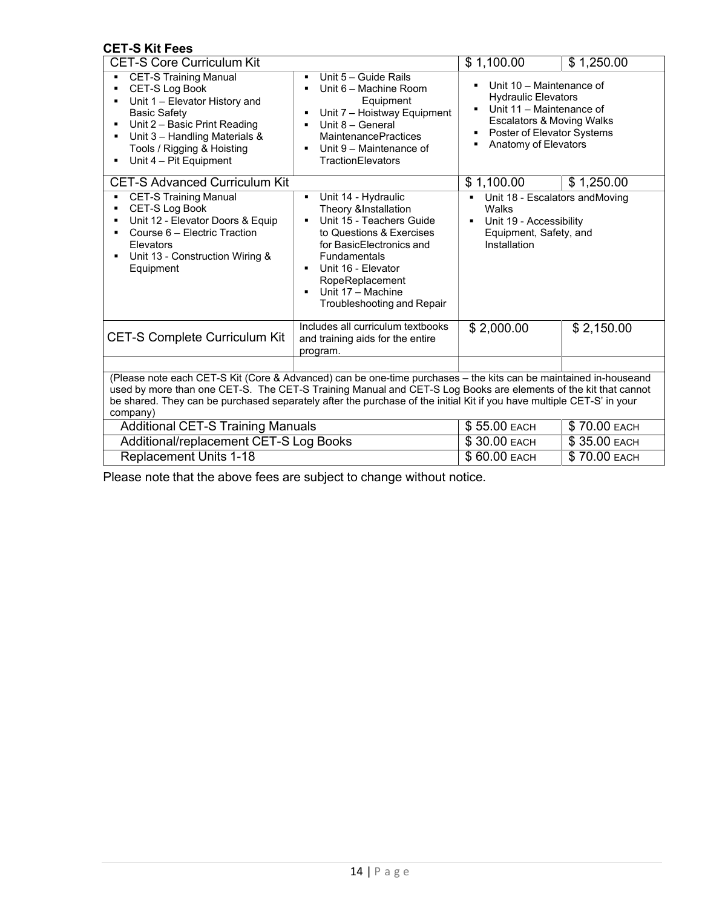# **CET-S Kit Fees**

| <b>CET-S Core Curriculum Kit</b>                                                                                                                                                                                                                                                                                                                                        |                                                                                                                                                                                                                                                         | \$1,100.00                                                                                                                                                                                                                                               | \$1,250.00   |  |  |
|-------------------------------------------------------------------------------------------------------------------------------------------------------------------------------------------------------------------------------------------------------------------------------------------------------------------------------------------------------------------------|---------------------------------------------------------------------------------------------------------------------------------------------------------------------------------------------------------------------------------------------------------|----------------------------------------------------------------------------------------------------------------------------------------------------------------------------------------------------------------------------------------------------------|--------------|--|--|
| <b>CET-S Training Manual</b><br>CET-S Log Book<br>Unit 1 - Elevator History and<br><b>Basic Safety</b><br>Unit 2 - Basic Print Reading<br>Unit 3 - Handling Materials &<br>Tools / Rigging & Hoisting<br>Unit 4 - Pit Equipment                                                                                                                                         | Unit 5 - Guide Rails<br>٠<br>Unit 6 - Machine Room<br>Equipment<br>Unit 7 - Hoistway Equipment<br>Unit 8 - General<br><b>MaintenancePractices</b><br>Unit 9 – Maintenance of<br><b>TractionElevators</b>                                                | Unit 10 - Maintenance of<br>$\blacksquare$<br><b>Hydraulic Elevators</b><br>Unit 11 - Maintenance of<br>$\blacksquare$<br><b>Escalators &amp; Moving Walks</b><br>Poster of Elevator Systems<br>$\blacksquare$<br>Anatomy of Elevators<br>$\blacksquare$ |              |  |  |
| <b>CET-S Advanced Curriculum Kit</b>                                                                                                                                                                                                                                                                                                                                    |                                                                                                                                                                                                                                                         | \$1,100.00                                                                                                                                                                                                                                               | \$1,250.00   |  |  |
| <b>CET-S Training Manual</b><br>CET-S Log Book<br>Unit 12 - Elevator Doors & Equip<br>Course 6 - Electric Traction<br>Elevators<br>Unit 13 - Construction Wiring &<br>Equipment                                                                                                                                                                                         | Unit 14 - Hydraulic<br>٠<br>Theory &Installation<br>Unit 15 - Teachers Guide<br>to Questions & Exercises<br>for BasicElectronics and<br><b>Fundamentals</b><br>Unit 16 - Elevator<br>RopeReplacement<br>Unit 17 - Machine<br>Troubleshooting and Repair | Unit 18 - Escalators and Moving<br>Walks<br>Unit 19 - Accessibility<br>Equipment, Safety, and<br>Installation                                                                                                                                            |              |  |  |
| <b>CET-S Complete Curriculum Kit</b>                                                                                                                                                                                                                                                                                                                                    | Includes all curriculum textbooks<br>and training aids for the entire<br>program.                                                                                                                                                                       | \$2,000.00                                                                                                                                                                                                                                               | \$2,150.00   |  |  |
|                                                                                                                                                                                                                                                                                                                                                                         |                                                                                                                                                                                                                                                         |                                                                                                                                                                                                                                                          |              |  |  |
| (Please note each CET-S Kit (Core & Advanced) can be one-time purchases - the kits can be maintained in-houseand<br>used by more than one CET-S. The CET-S Training Manual and CET-S Log Books are elements of the kit that cannot<br>be shared. They can be purchased separately after the purchase of the initial Kit if you have multiple CET-S' in your<br>company) |                                                                                                                                                                                                                                                         |                                                                                                                                                                                                                                                          |              |  |  |
| <b>Additional CET-S Training Manuals</b>                                                                                                                                                                                                                                                                                                                                |                                                                                                                                                                                                                                                         | \$55.00 EACH                                                                                                                                                                                                                                             | \$70.00 EACH |  |  |
| Additional/replacement CET-S Log Books                                                                                                                                                                                                                                                                                                                                  |                                                                                                                                                                                                                                                         | \$30.00 EACH                                                                                                                                                                                                                                             | \$35.00 EACH |  |  |
| <b>Replacement Units 1-18</b>                                                                                                                                                                                                                                                                                                                                           |                                                                                                                                                                                                                                                         | \$60.00 EACH                                                                                                                                                                                                                                             | \$70.00 EACH |  |  |

Please note that the above fees are subject to change without notice.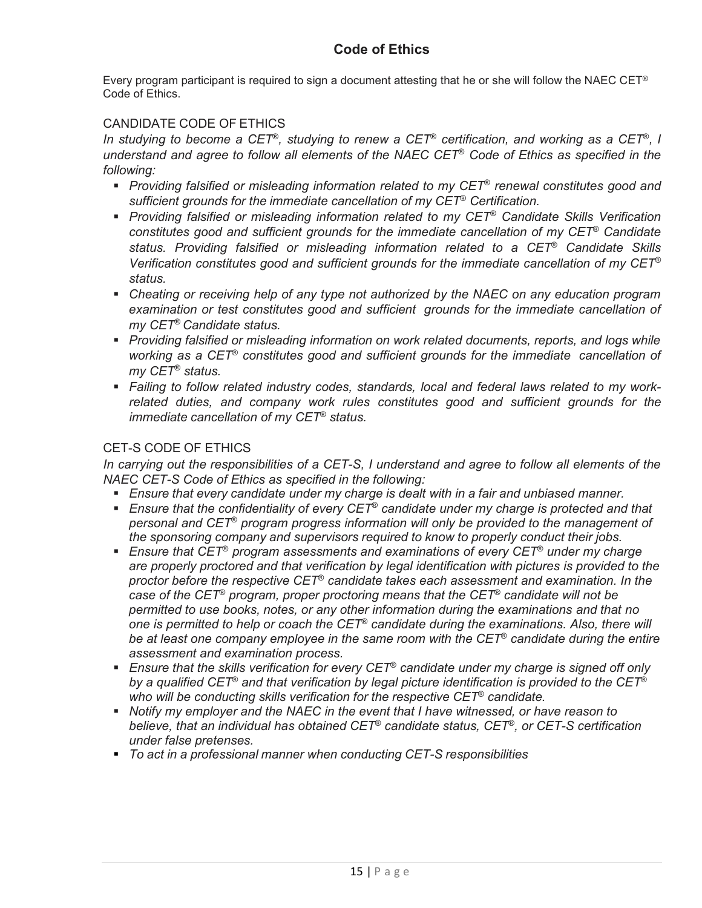Every program participant is required to sign a document attesting that he or she will follow the NAEC CET® Code of Ethics.

# CANDIDATE CODE OF ETHICS

*In studying to become a CET*®*, studying to renew a CET*® *certification, and working as a CET*®*, I understand and agree to follow all elements of the NAEC CET*® *Code of Ethics as specified in the following:*

- *Providing falsified or misleading information related to my CET*® *renewal constitutes good and sufficient grounds for the immediate cancellation of my CET*® *Certification.*
- *Providing falsified or misleading information related to my CET*® *Candidate Skills Verification constitutes good and sufficient grounds for the immediate cancellation of my CET*® *Candidate status. Providing falsified or misleading information related to a CET*® *Candidate Skills Verification constitutes good and sufficient grounds for the immediate cancellation of my CET*® *status.*
- *Cheating or receiving help of any type not authorized by the NAEC on any education program examination or test constitutes good and sufficient grounds for the immediate cancellation of my CET*® *Candidate status.*
- **Providing falsified or misleading information on work related documents, reports, and logs while** *working as a CET*® *constitutes good and sufficient grounds for the immediate cancellation of my CET*® *status.*
- *Failing to follow related industry codes, standards, local and federal laws related to my workrelated duties, and company work rules constitutes good and sufficient grounds for the immediate cancellation of my CET*® *status.*

# CET-S CODE OF ETHICS

*In carrying out the responsibilities of a CET-S, I understand and agree to follow all elements of the NAEC CET-S Code of Ethics as specified in the following:*

- *Ensure that every candidate under my charge is dealt with in a fair and unbiased manner.*
- *Ensure that the confidentiality of every CET*® *candidate under my charge is protected and that personal and CET*® *program progress information will only be provided to the management of the sponsoring company and supervisors required to know to properly conduct their jobs.*
- *Ensure that CET*® *program assessments and examinations of every CET*® *under my charge are properly proctored and that verification by legal identification with pictures is provided to the proctor before the respective CET*® *candidate takes each assessment and examination. In the case of the CET*® *program, proper proctoring means that the CET*® *candidate will not be permitted to use books, notes, or any other information during the examinations and that no one is permitted to help or coach the CET*® *candidate during the examinations. Also, there will be at least one company employee in the same room with the CET*® *candidate during the entire assessment and examination process.*
- *Ensure that the skills verification for every CET*® *candidate under my charge is signed off only by a qualified CET*® *and that verification by legal picture identification is provided to the CET*® *who will be conducting skills verification for the respective CET*® *candidate.*
- *Notify my employer and the NAEC in the event that I have witnessed, or have reason to believe, that an individual has obtained CET*® *candidate status, CET*®*, or CET-S certification under false pretenses.*
- *To act in a professional manner when conducting CET-S responsibilities*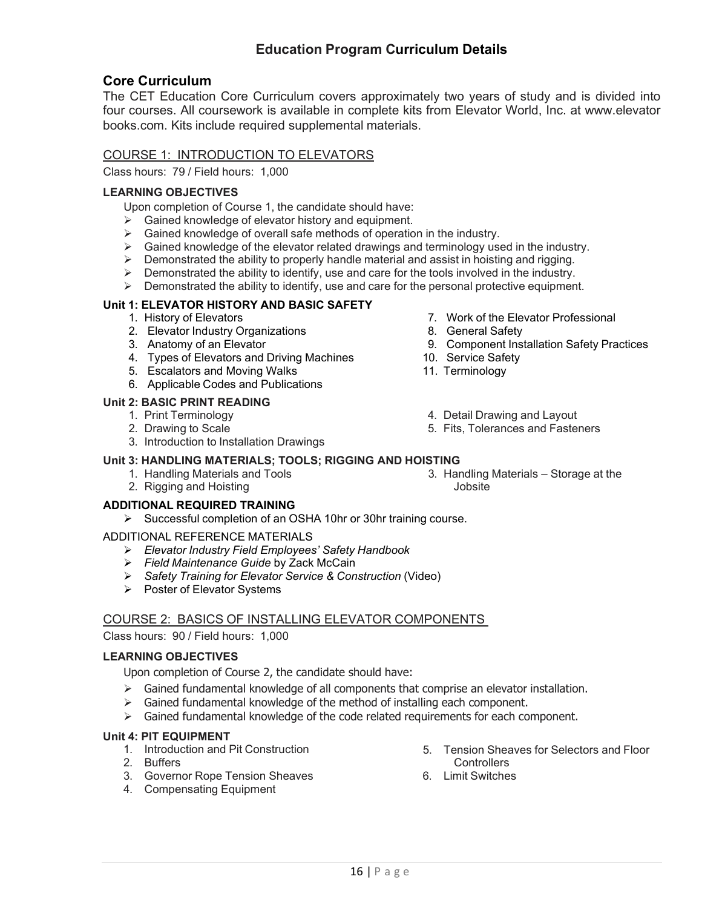# **Education Program Curriculum Details**

# **Core Curriculum**

The CET Education Core Curriculum covers approximately two years of study and is divided into four courses. All coursework is available in complete kits from Elevator World, Inc. at www.elevator books.com. Kits include required supplemental materials.

# COURSE 1: INTRODUCTION TO ELEVATORS

Class hours: 79 / Field hours: 1,000

# **LEARNING OBJECTIVES**

Upon completion of Course 1, the candidate should have:

- $\triangleright$  Gained knowledge of elevator history and equipment.
- $\triangleright$  Gained knowledge of overall safe methods of operation in the industry.
- $\triangleright$  Gained knowledge of the elevator related drawings and terminology used in the industry.
- $\triangleright$  Demonstrated the ability to properly handle material and assist in hoisting and rigging.
- $\triangleright$  Demonstrated the ability to identify, use and care for the tools involved in the industry.
- $\triangleright$  Demonstrated the ability to identify, use and care for the personal protective equipment.

# **Unit 1: ELEVATOR HISTORY AND BASIC SAFETY**

- 1. History of Elevators
- 2. Elevator Industry Organizations
- 3. Anatomy of an Elevator
- 4. Types of Elevators and Driving Machines
- 5. Escalators and Moving Walks
- 6. Applicable Codes and Publications

#### **Unit 2: BASIC PRINT READING**

- 1. Print Terminology
- 2. Drawing to Scale
- 3. Introduction to Installation Drawings

## **Unit 3: HANDLING MATERIALS; TOOLS; RIGGING AND HOISTING**

- 1. Handling Materials and Tools
- 2. Rigging and Hoisting

# **ADDITIONAL REQUIRED TRAINING**

Successful completion of an OSHA 10hr or 30hr training course.

#### ADDITIONAL REFERENCE MATERIALS

- *Elevator Industry Field Employees' Safety Handbook*
- *Field Maintenance Guide* by Zack McCain
- *Safety Training for Elevator Service & Construction* (Video)
- $\triangleright$  Poster of Elevator Systems

# COURSE 2: BASICS OF INSTALLING ELEVATOR COMPONENTS

Class hours: 90 / Field hours: 1,000

#### **LEARNING OBJECTIVES**

Upon completion of Course 2, the candidate should have:

- $\triangleright$  Gained fundamental knowledge of all components that comprise an elevator installation.
- $\triangleright$  Gained fundamental knowledge of the method of installing each component.
- $\triangleright$  Gained fundamental knowledge of the code related requirements for each component.

#### **Unit 4: PIT EQUIPMENT**

- 1. Introduction and Pit Construction
- 2. Buffers
- 3. Governor Rope Tension Sheaves
- 4. Compensating Equipment
- 5. Tension Sheaves for Selectors and Floor **Controllers**
- 6. Limit Switches
- 7. Work of the Elevator Professional
- 8. General Safety
- 9. Component Installation Safety Practices
- 10. Service Safety
- 11. Terminology
- 4. Detail Drawing and Layout
- 5. Fits, Tolerances and Fasteners
- **Jobsite**
- 3. Handling Materials Storage at the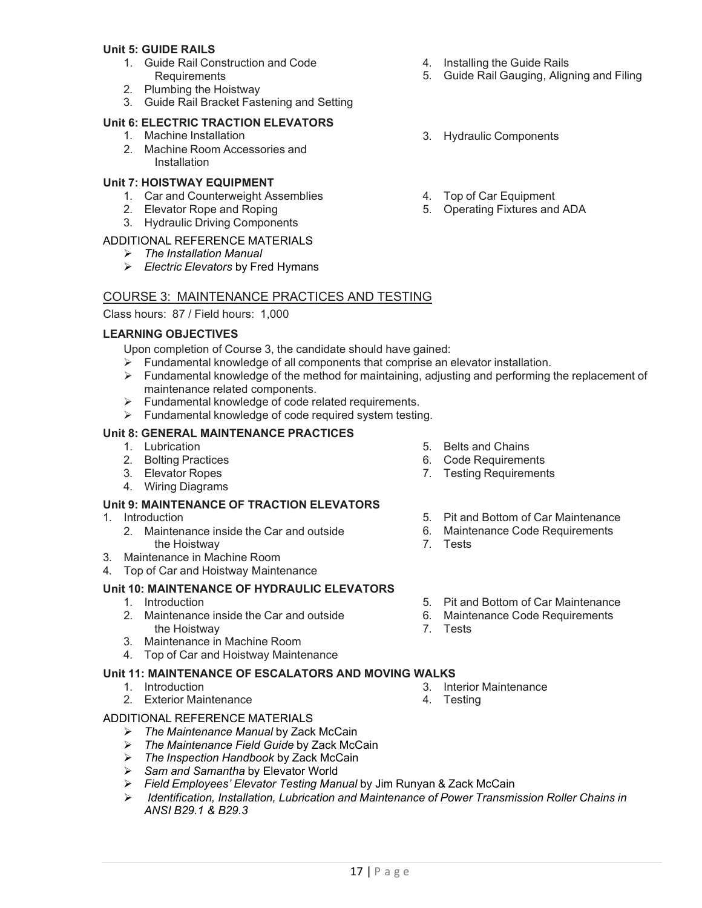#### **Unit 5: GUIDE RAILS**

- 1. Guide Rail Construction and Code **Requirements**
- 2. Plumbing the Hoistway
- 3. Guide Rail Bracket Fastening and Setting

#### **Unit 6: ELECTRIC TRACTION ELEVATORS**

- 1. Machine Installation
- 2. Machine Room Accessories and **Installation**

#### **Unit 7: HOISTWAY EQUIPMENT**

- 1. Car and Counterweight Assemblies
- 2. Elevator Rope and Roping
- 3. Hydraulic Driving Components

# ADDITIONAL REFERENCE MATERIALS

- *The Installation Manual*
- *Electric Elevators* by Fred Hymans

#### COURSE 3: MAINTENANCE PRACTICES AND TESTING

Class hours: 87 / Field hours: 1,000

#### **LEARNING OBJECTIVES**

Upon completion of Course 3, the candidate should have gained:

- $\triangleright$  Fundamental knowledge of all components that comprise an elevator installation.
- Fundamental knowledge of the method for maintaining, adjusting and performing the replacement of maintenance related components.
- $\triangleright$  Fundamental knowledge of code related requirements.
- $\triangleright$  Fundamental knowledge of code required system testing.

#### **Unit 8: GENERAL MAINTENANCE PRACTICES**

- 1. Lubrication
- 2. Bolting Practices
- 3. Elevator Ropes
- 4. Wiring Diagrams

#### **Unit 9: MAINTENANCE OF TRACTION ELEVATORS**

- 1. Introduction
	- 2. Maintenance inside the Car and outside the Hoistway
- 3. Maintenance in Machine Room
- 4. Top of Car and Hoistway Maintenance

#### **Unit 10: MAINTENANCE OF HYDRAULIC ELEVATORS**

- 1. Introduction
- 2. Maintenance inside the Car and outside the Hoistway
- 3. Maintenance in Machine Room
- 4. Top of Car and Hoistway Maintenance

#### **Unit 11: MAINTENANCE OF ESCALATORS AND MOVING WALKS**

- 1. Introduction
- 2. Exterior Maintenance

#### ADDITIONAL REFERENCE MATERIALS

- *The Maintenance Manual* by Zack McCain
- *The Maintenance Field Guide* by Zack McCain
- *The Inspection Handbook* by Zack McCain
- *Sam and Samantha* by Elevator World
- *Field Employees' Elevator Testing Manual* by Jim Runyan & Zack McCain
- *Identification, Installation, Lubrication and Maintenance of Power Transmission Roller Chains in ANSI B29.1 & B29.3*
- 4. Installing the Guide Rails
- 5. Guide Rail Gauging, Aligning and Filing
- 3. Hydraulic Components
- 4. Top of Car Equipment
- 5. Operating Fixtures and ADA

- 5. Belts and Chains
- 6. Code Requirements
- 7. Testing Requirements
- 5. Pit and Bottom of Car Maintenance
- 6. Maintenance Code Requirements
- 7. Tests
- 5. Pit and Bottom of Car Maintenance
- 6. Maintenance Code Requirements
- 7. Tests

- 3. Interior Maintenance
- 4. Testing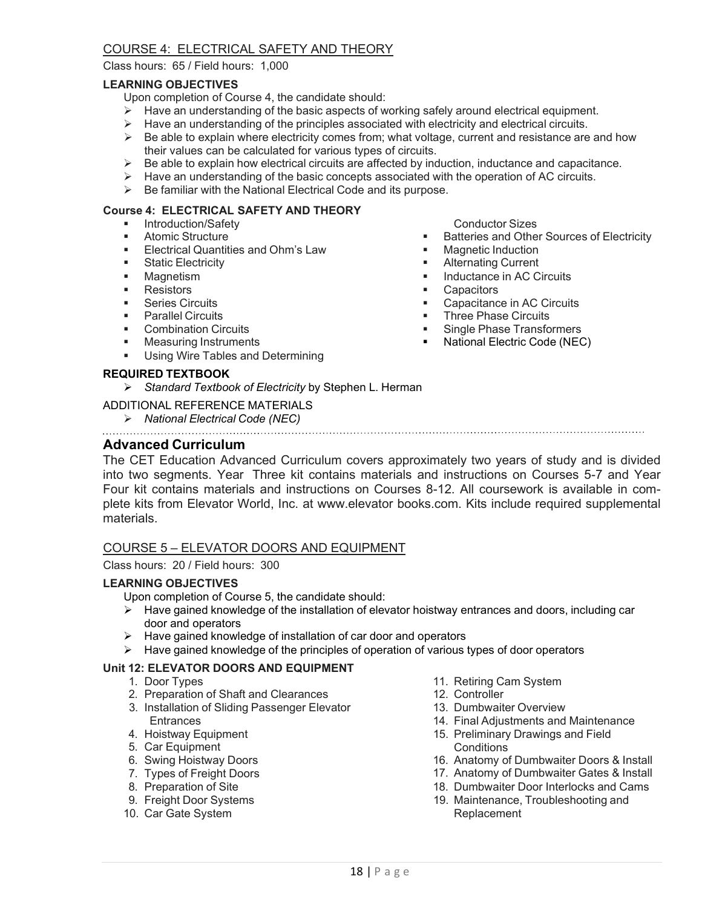# COURSE 4: ELECTRICAL SAFETY AND THEORY

Class hours: 65 / Field hours: 1,000

#### **LEARNING OBJECTIVES**

Upon completion of Course 4, the candidate should:

- $\triangleright$  Have an understanding of the basic aspects of working safely around electrical equipment.
- $\triangleright$  Have an understanding of the principles associated with electricity and electrical circuits.
- $\triangleright$  Be able to explain where electricity comes from; what voltage, current and resistance are and how their values can be calculated for various types of circuits.
- Be able to explain how electrical circuits are affected by induction, inductance and capacitance.
- $\triangleright$  Have an understanding of the basic concepts associated with the operation of AC circuits.
- $\triangleright$  Be familiar with the National Electrical Code and its purpose.

#### **Course 4: ELECTRICAL SAFETY AND THEORY**

- **Introduction/Safety**
- Atomic Structure
- Electrical Quantities and Ohm's Law
- **Static Electricity**
- **Magnetism**
- **Resistors**
- **Series Circuits**
- Parallel Circuits
- **•** Combination Circuits
- **Neasuring Instruments**
- **Using Wire Tables and Determining**

#### **REQUIRED TEXTBOOK**

*Standard Textbook of Electricity* by Stephen L. Herman

#### ADDITIONAL REFERENCE MATERIALS

- 
- *National Electrical Code (NEC)*

#### **Advanced Curriculum**

The CET Education Advanced Curriculum covers approximately two years of study and is divided into two segments. Year Three kit contains materials and instructions on Courses 5-7 and Year Four kit contains materials and instructions on Courses 8-12. All coursework is available in complete kits from Elevator World, Inc. at www.elevator books.com. Kits include required supplemental materials.

#### COURSE 5 – ELEVATOR DOORS AND EQUIPMENT

Class hours: 20 / Field hours: 300

#### **LEARNING OBJECTIVES**

Upon completion of Course 5, the candidate should:

- $\triangleright$  Have gained knowledge of the installation of elevator hoistway entrances and doors, including car door and operators
- > Have gained knowledge of installation of car door and operators
- $\triangleright$  Have gained knowledge of the principles of operation of various types of door operators

## **Unit 12: ELEVATOR DOORS AND EQUIPMENT**

- 1. Door Types
- 2. Preparation of Shaft and Clearances
- 3. Installation of Sliding Passenger Elevator **Entrances**
- 4. Hoistway Equipment
- 5. Car Equipment
- 6. Swing Hoistway Doors
- 7. Types of Freight Doors
- 8. Preparation of Site
- 9. Freight Door Systems
- 10. Car Gate System
- 11. Retiring Cam System
- 12. Controller
- 13. Dumbwaiter Overview
- 14. Final Adjustments and Maintenance
- 15. Preliminary Drawings and Field **Conditions**
- 16. Anatomy of Dumbwaiter Doors & Install
- 17. Anatomy of Dumbwaiter Gates & Install
- 18. Dumbwaiter Door Interlocks and Cams
- 19. Maintenance, Troubleshooting and Replacement
- Conductor Sizes
- **Batteries and Other Sources of Electricity**<br> **Batterie Induction**
- Magnetic Induction
- **Alternating Current**
- Inductance in AC Circuits<br>In Canacitors
- **Capacitors**
- Capacitance in AC Circuits<br>Three Phase Circuits
- **Three Phase Circuits**<br>**Report Alger Phase Transform**
- Single Phase Transformers
- **National Electric Code (NEC)**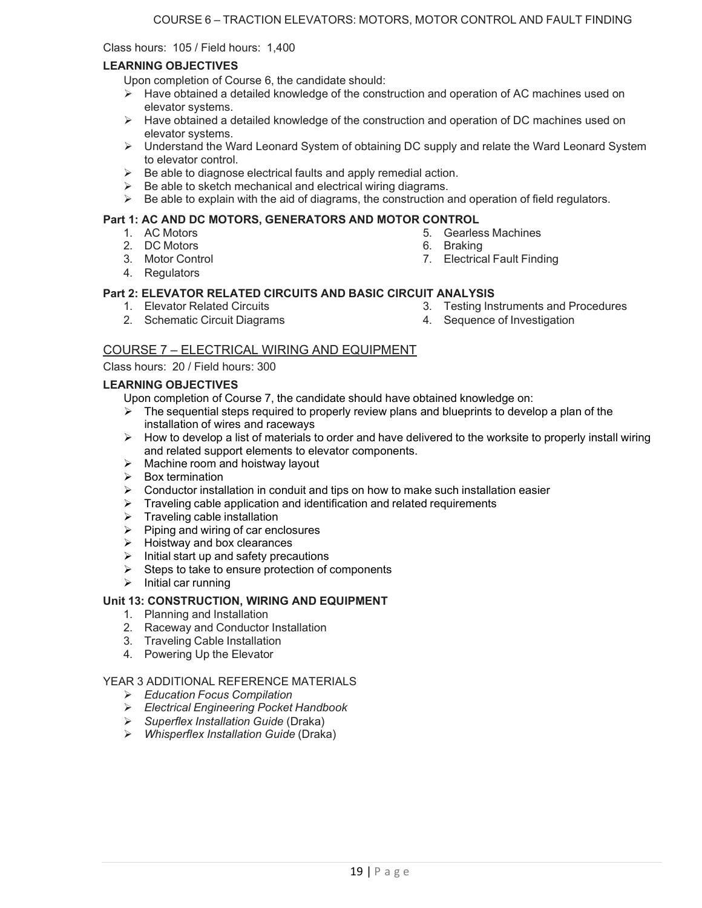Class hours: 105 / Field hours: 1,400

#### **LEARNING OBJECTIVES**

Upon completion of Course 6, the candidate should:

- $\triangleright$  Have obtained a detailed knowledge of the construction and operation of AC machines used on elevator systems.
- $\triangleright$  Have obtained a detailed knowledge of the construction and operation of DC machines used on elevator systems.
- Understand the Ward Leonard System of obtaining DC supply and relate the Ward Leonard System to elevator control.
- $\triangleright$  Be able to diagnose electrical faults and apply remedial action.
- $\triangleright$  Be able to sketch mechanical and electrical wiring diagrams.
- $\triangleright$  Be able to explain with the aid of diagrams, the construction and operation of field regulators.

## **Part 1: AC AND DC MOTORS, GENERATORS AND MOTOR CONTROL**

- 1. AC Motors
- 2. DC Motors
- 3. Motor Control
- 4. Regulators
- 5. Gearless Machines
- 6. Braking
- 7. Electrical Fault Finding

#### **Part 2: ELEVATOR RELATED CIRCUITS AND BASIC CIRCUIT ANALYSIS**

1. Elevator Related Circuits

3. Testing Instruments and Procedures

2. Schematic Circuit Diagrams

4. Sequence of Investigation

# COURSE 7 – ELECTRICAL WIRING AND EQUIPMENT

#### Class hours: 20 / Field hours: 300

#### **LEARNING OBJECTIVES**

Upon completion of Course 7, the candidate should have obtained knowledge on:

- $\triangleright$  The sequential steps required to properly review plans and blueprints to develop a plan of the installation of wires and raceways
- $\triangleright$  How to develop a list of materials to order and have delivered to the worksite to properly install wiring and related support elements to elevator components.
- $\triangleright$  Machine room and hoistway layout
- $\triangleright$  Box termination
- $\triangleright$  Conductor installation in conduit and tips on how to make such installation easier
- $\triangleright$  Traveling cable application and identification and related requirements
- $\triangleright$  Traveling cable installation
- $\triangleright$  Piping and wiring of car enclosures
- $\triangleright$  Hoistway and box clearances
- $\triangleright$  Initial start up and safety precautions
- $\triangleright$  Steps to take to ensure protection of components
- $\triangleright$  Initial car running

#### **Unit 13: CONSTRUCTION, WIRING AND EQUIPMENT**

- 1. Planning and Installation
- 2. Raceway and Conductor Installation
- 3. Traveling Cable Installation
- 4. Powering Up the Elevator

#### YEAR 3 ADDITIONAL REFERENCE MATERIALS

- *Education Focus Compilation*
- *Electrical Engineering Pocket Handbook*
- *Superflex Installation Guide* (Draka)
- *Whisperflex Installation Guide* (Draka)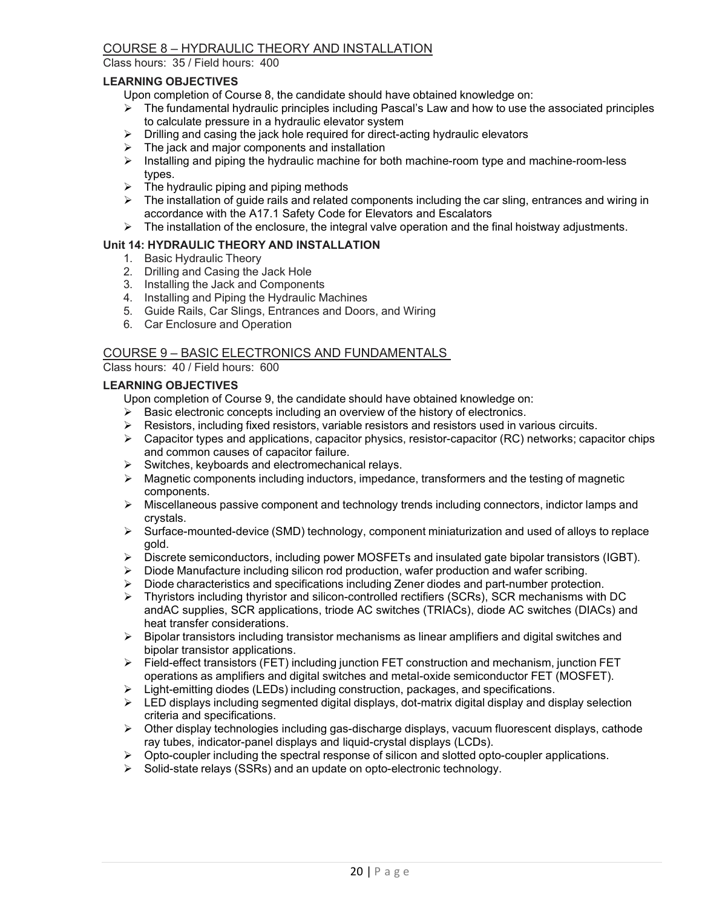# COURSE 8 – HYDRAULIC THEORY AND INSTALLATION

Class hours: 35 / Field hours: 400

#### **LEARNING OBJECTIVES**

Upon completion of Course 8, the candidate should have obtained knowledge on:

- $\triangleright$  The fundamental hydraulic principles including Pascal's Law and how to use the associated principles to calculate pressure in a hydraulic elevator system
- $\triangleright$  Drilling and casing the jack hole required for direct-acting hydraulic elevators
- $\triangleright$  The jack and major components and installation
- $\triangleright$  Installing and piping the hydraulic machine for both machine-room type and machine-room-less types.
- $\triangleright$  The hydraulic piping and piping methods
- $\triangleright$  The installation of guide rails and related components including the car sling, entrances and wiring in accordance with the A17.1 Safety Code for Elevators and Escalators
- $\triangleright$  The installation of the enclosure, the integral valve operation and the final hoistway adjustments.

#### **Unit 14: HYDRAULIC THEORY AND INSTALLATION**

- 1. Basic Hydraulic Theory
- 2. Drilling and Casing the Jack Hole
- 3. Installing the Jack and Components
- 4. Installing and Piping the Hydraulic Machines
- 5. Guide Rails, Car Slings, Entrances and Doors, and Wiring
- 6. Car Enclosure and Operation

#### COURSE 9 – BASIC ELECTRONICS AND FUNDAMENTALS

Class hours: 40 / Field hours: 600

#### **LEARNING OBJECTIVES**

Upon completion of Course 9, the candidate should have obtained knowledge on:

- $\triangleright$  Basic electronic concepts including an overview of the history of electronics.
- $\triangleright$  Resistors, including fixed resistors, variable resistors and resistors used in various circuits.
- $\triangleright$  Capacitor types and applications, capacitor physics, resistor-capacitor (RC) networks; capacitor chips and common causes of capacitor failure.
- $\triangleright$  Switches, keyboards and electromechanical relays.
- $\triangleright$  Magnetic components including inductors, impedance, transformers and the testing of magnetic components.
- $\triangleright$  Miscellaneous passive component and technology trends including connectors, indictor lamps and crystals.
- $\triangleright$  Surface-mounted-device (SMD) technology, component miniaturization and used of alloys to replace gold.
- $\triangleright$  Discrete semiconductors, including power MOSFETs and insulated gate bipolar transistors (IGBT).
- $\triangleright$  Diode Manufacture including silicon rod production, wafer production and wafer scribing.
- $\triangleright$  Diode characteristics and specifications including Zener diodes and part-number protection.
- $\triangleright$  Thyristors including thyristor and silicon-controlled rectifiers (SCRs), SCR mechanisms with DC andAC supplies, SCR applications, triode AC switches (TRIACs), diode AC switches (DIACs) and heat transfer considerations.
- $\triangleright$  Bipolar transistors including transistor mechanisms as linear amplifiers and digital switches and bipolar transistor applications.
- $\triangleright$  Field-effect transistors (FET) including junction FET construction and mechanism, junction FET operations as amplifiers and digital switches and metal-oxide semiconductor FET (MOSFET).
- $\triangleright$  Light-emitting diodes (LEDs) including construction, packages, and specifications.
- $\triangleright$  LED displays including segmented digital displays, dot-matrix digital display and display selection criteria and specifications.
- $\triangleright$  Other display technologies including gas-discharge displays, vacuum fluorescent displays, cathode ray tubes, indicator-panel displays and liquid-crystal displays (LCDs).
- $\triangleright$  Opto-coupler including the spectral response of silicon and slotted opto-coupler applications.
- $\triangleright$  Solid-state relays (SSRs) and an update on opto-electronic technology.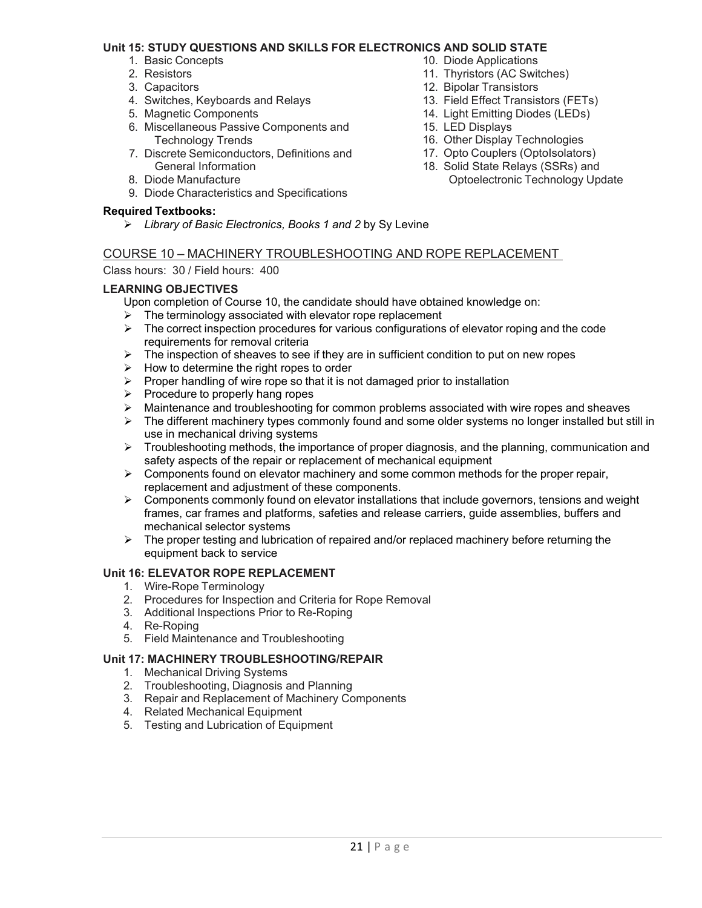#### **Unit 15: STUDY QUESTIONS AND SKILLS FOR ELECTRONICS AND SOLID STATE**

- 1. Basic Concepts
- 2. Resistors
- 3. Capacitors
- 4. Switches, Keyboards and Relays
- 5. Magnetic Components
- 6. Miscellaneous Passive Components and Technology Trends
- 7. Discrete Semiconductors, Definitions and General Information
- 8. Diode Manufacture
- 9. Diode Characteristics and Specifications

## **Required Textbooks:**

*Library of Basic Electronics, Books 1 and 2* by Sy Levine

# 10. Diode Applications

- 11. Thyristors (AC Switches)
- 12. Bipolar Transistors
- 13. Field Effect Transistors (FETs)
- 14. Light Emitting Diodes (LEDs)
- 15. LED Displays
- 16. Other Display Technologies
- 17. Opto Couplers (OptoIsolators)
- 18. Solid State Relays (SSRs) and Optoelectronic Technology Update

# COURSE 10 – MACHINERY TROUBLESHOOTING AND ROPE REPLACEMENT

Class hours: 30 / Field hours: 400

#### **LEARNING OBJECTIVES**

Upon completion of Course 10, the candidate should have obtained knowledge on:

- $\triangleright$  The terminology associated with elevator rope replacement<br> $\triangleright$  The correct inspection procedures for various configurations
- The correct inspection procedures for various configurations of elevator roping and the code requirements for removal criteria
- $\triangleright$  The inspection of sheaves to see if they are in sufficient condition to put on new ropes
- $\triangleright$  How to determine the right ropes to order
- $\triangleright$  Proper handling of wire rope so that it is not damaged prior to installation
- $\triangleright$  Procedure to properly hang ropes
- $\triangleright$  Maintenance and troubleshooting for common problems associated with wire ropes and sheaves
- $\triangleright$  The different machinery types commonly found and some older systems no longer installed but still in use in mechanical driving systems
- $\triangleright$  Troubleshooting methods, the importance of proper diagnosis, and the planning, communication and safety aspects of the repair or replacement of mechanical equipment
- $\triangleright$  Components found on elevator machinery and some common methods for the proper repair, replacement and adjustment of these components.
- $\triangleright$  Components commonly found on elevator installations that include governors, tensions and weight frames, car frames and platforms, safeties and release carriers, guide assemblies, buffers and mechanical selector systems
- $\triangleright$  The proper testing and lubrication of repaired and/or replaced machinery before returning the equipment back to service

# **Unit 16: ELEVATOR ROPE REPLACEMENT**

- 1. Wire-Rope Terminology
- 2. Procedures for Inspection and Criteria for Rope Removal
- 3. Additional Inspections Prior to Re-Roping
- 4. Re-Roping
- 5. Field Maintenance and Troubleshooting

#### **Unit 17: MACHINERY TROUBLESHOOTING/REPAIR**

- 1. Mechanical Driving Systems
- 2. Troubleshooting, Diagnosis and Planning
- 3. Repair and Replacement of Machinery Components
- 4. Related Mechanical Equipment
- 5. Testing and Lubrication of Equipment